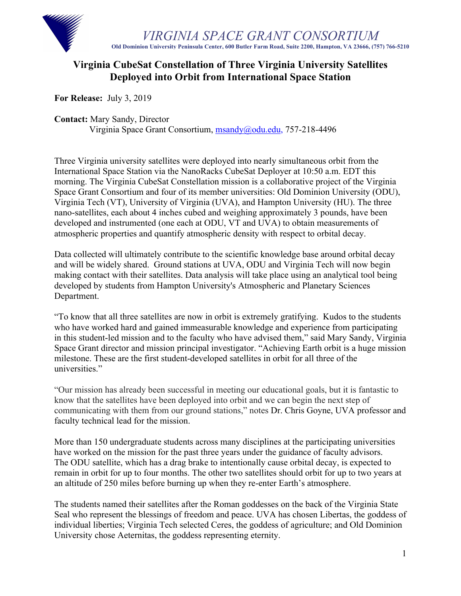

*VIRGINIA SPACE GRANT CONSORTIUM* **Old Dominion University Peninsula Center, 600 Butler Farm Road, Suite 2200, Hampton, VA 23666, (757) 766-5210**

## **Virginia CubeSat Constellation of Three Virginia University Satellites Deployed into Orbit from International Space Station**

**For Release:** July 3, 2019

**Contact:** Mary Sandy, Director

Virginia Space Grant Consortium, msandy@odu.edu, 757-218-4496

Three Virginia university satellites were deployed into nearly simultaneous orbit from the International Space Station via the NanoRacks CubeSat Deployer at 10:50 a.m. EDT this morning. The Virginia CubeSat Constellation mission is a collaborative project of the Virginia Space Grant Consortium and four of its member universities: Old Dominion University (ODU), Virginia Tech (VT), University of Virginia (UVA), and Hampton University (HU). The three nano-satellites, each about 4 inches cubed and weighing approximately 3 pounds, have been developed and instrumented (one each at ODU, VT and UVA) to obtain measurements of atmospheric properties and quantify atmospheric density with respect to orbital decay.

Data collected will ultimately contribute to the scientific knowledge base around orbital decay and will be widely shared. Ground stations at UVA, ODU and Virginia Tech will now begin making contact with their satellites. Data analysis will take place using an analytical tool being developed by students from Hampton University's Atmospheric and Planetary Sciences Department.

"To know that all three satellites are now in orbit is extremely gratifying. Kudos to the students who have worked hard and gained immeasurable knowledge and experience from participating in this student-led mission and to the faculty who have advised them," said Mary Sandy, Virginia Space Grant director and mission principal investigator. "Achieving Earth orbit is a huge mission milestone. These are the first student-developed satellites in orbit for all three of the universities."

"Our mission has already been successful in meeting our educational goals, but it is fantastic to know that the satellites have been deployed into orbit and we can begin the next step of communicating with them from our ground stations," notes Dr. Chris Goyne, UVA professor and faculty technical lead for the mission.

More than 150 undergraduate students across many disciplines at the participating universities have worked on the mission for the past three years under the guidance of faculty advisors. The ODU satellite, which has a drag brake to intentionally cause orbital decay, is expected to remain in orbit for up to four months. The other two satellites should orbit for up to two years at an altitude of 250 miles before burning up when they re-enter Earth's atmosphere.

The students named their satellites after the Roman goddesses on the back of the Virginia State Seal who represent the blessings of freedom and peace. UVA has chosen Libertas, the goddess of individual liberties; Virginia Tech selected Ceres, the goddess of agriculture; and Old Dominion University chose Aeternitas, the goddess representing eternity.